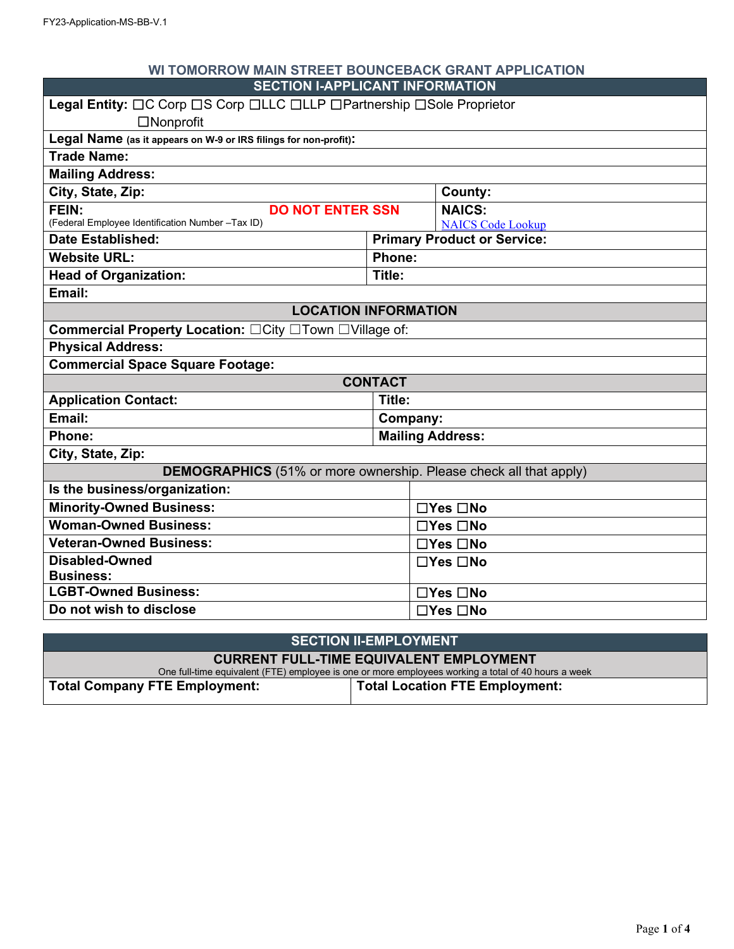| WI TOMORROW MAIN STREET BOUNCEBACK GRANT APPLICATION                     |                |                                    |  |  |
|--------------------------------------------------------------------------|----------------|------------------------------------|--|--|
| <b>SECTION I-APPLICANT INFORMATION</b>                                   |                |                                    |  |  |
| Legal Entity: OC Corp OS Corp OLLC OLLP OPartnership OSole Proprietor    |                |                                    |  |  |
| $\Box$ Nonprofit                                                         |                |                                    |  |  |
| Legal Name (as it appears on W-9 or IRS filings for non-profit):         |                |                                    |  |  |
| <b>Trade Name:</b>                                                       |                |                                    |  |  |
| <b>Mailing Address:</b>                                                  |                |                                    |  |  |
| City, State, Zip:                                                        |                | County:                            |  |  |
| FEIN:<br><b>DO NOT ENTER SSN</b>                                         |                | <b>NAICS:</b>                      |  |  |
| (Federal Employee Identification Number -Tax ID)                         |                | <b>NAICS Code Lookup</b>           |  |  |
| <b>Date Established:</b>                                                 |                | <b>Primary Product or Service:</b> |  |  |
| <b>Website URL:</b>                                                      | Phone:         |                                    |  |  |
| <b>Head of Organization:</b>                                             | Title:         |                                    |  |  |
| Email:                                                                   |                |                                    |  |  |
| <b>LOCATION INFORMATION</b>                                              |                |                                    |  |  |
| Commercial Property Location: □City □Town □Village of:                   |                |                                    |  |  |
| <b>Physical Address:</b>                                                 |                |                                    |  |  |
| <b>Commercial Space Square Footage:</b>                                  |                |                                    |  |  |
|                                                                          | <b>CONTACT</b> |                                    |  |  |
| <b>Application Contact:</b>                                              | Title:         |                                    |  |  |
| Email:                                                                   | Company:       |                                    |  |  |
| Phone:                                                                   |                | <b>Mailing Address:</b>            |  |  |
| City, State, Zip:                                                        |                |                                    |  |  |
| <b>DEMOGRAPHICS</b> (51% or more ownership. Please check all that apply) |                |                                    |  |  |
| Is the business/organization:                                            |                |                                    |  |  |
| <b>Minority-Owned Business:</b>                                          |                | $\Box Y$ es $\Box$ No              |  |  |
| <b>Woman-Owned Business:</b>                                             |                | $\Box$ Yes $\Box$ No               |  |  |
| <b>Veteran-Owned Business:</b>                                           |                | $\Box$ Yes $\Box$ No               |  |  |
| <b>Disabled-Owned</b>                                                    |                | $\Box$ Yes $\Box$ No               |  |  |
| <b>Business:</b>                                                         |                |                                    |  |  |
| <b>LGBT-Owned Business:</b>                                              |                | $\Box$ Yes $\Box$ No               |  |  |
| Do not wish to disclose                                                  |                | □Yes □No                           |  |  |
|                                                                          |                |                                    |  |  |

| <b>SECTION II-EMPLOYMENT</b>                                                                        |                                       |  |  |
|-----------------------------------------------------------------------------------------------------|---------------------------------------|--|--|
| <b>CURRENT FULL-TIME EQUIVALENT EMPLOYMENT</b>                                                      |                                       |  |  |
| One full-time equivalent (FTE) employee is one or more employees working a total of 40 hours a week |                                       |  |  |
| Total Company FTE Employment:                                                                       | <b>Total Location FTE Employment:</b> |  |  |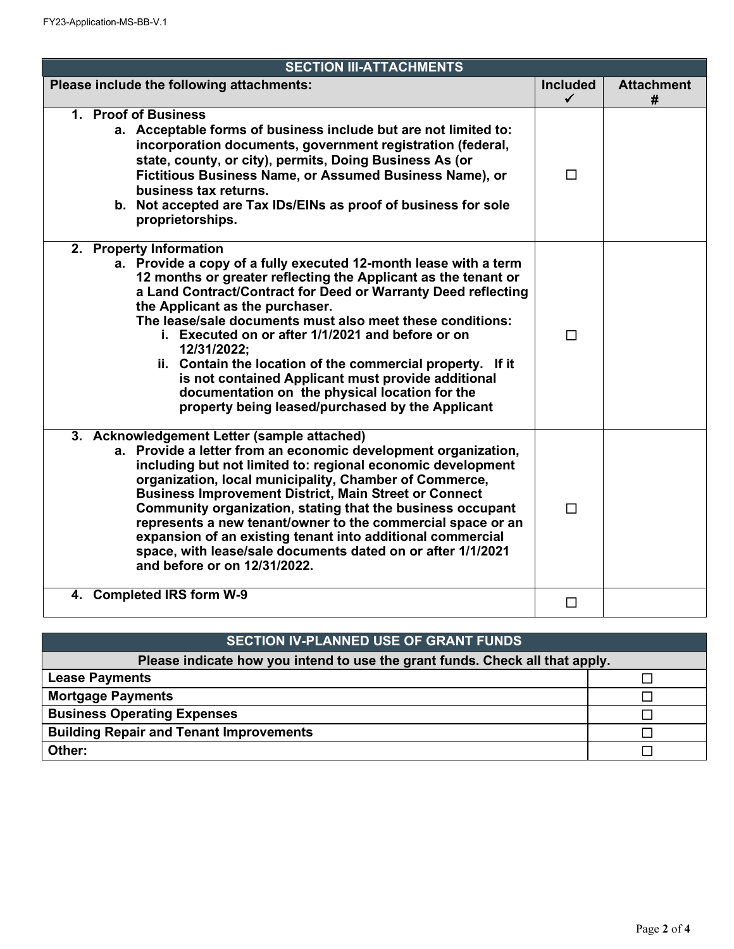| <b>SECTION III-ATTACHMENTS</b>                                                                                                                                                                                                                                                                                                                                                                                                                                                                                                                                                                                               |                                 |                        |  |  |  |
|------------------------------------------------------------------------------------------------------------------------------------------------------------------------------------------------------------------------------------------------------------------------------------------------------------------------------------------------------------------------------------------------------------------------------------------------------------------------------------------------------------------------------------------------------------------------------------------------------------------------------|---------------------------------|------------------------|--|--|--|
| Please include the following attachments:                                                                                                                                                                                                                                                                                                                                                                                                                                                                                                                                                                                    | <b>Included</b><br>$\checkmark$ | <b>Attachment</b><br># |  |  |  |
| 1. Proof of Business<br>a. Acceptable forms of business include but are not limited to:<br>incorporation documents, government registration (federal,<br>state, county, or city), permits, Doing Business As (or<br>Fictitious Business Name, or Assumed Business Name), or<br>business tax returns.<br>b. Not accepted are Tax IDs/EINs as proof of business for sole<br>proprietorships.                                                                                                                                                                                                                                   | $\Box$                          |                        |  |  |  |
| 2. Property Information<br>a. Provide a copy of a fully executed 12-month lease with a term<br>12 months or greater reflecting the Applicant as the tenant or<br>a Land Contract/Contract for Deed or Warranty Deed reflecting<br>the Applicant as the purchaser.<br>The lease/sale documents must also meet these conditions:<br>i. Executed on or after 1/1/2021 and before or on<br>12/31/2022;<br>ii. Contain the location of the commercial property. If it<br>is not contained Applicant must provide additional<br>documentation on the physical location for the<br>property being leased/purchased by the Applicant | $\Box$                          |                        |  |  |  |
| 3. Acknowledgement Letter (sample attached)<br>a. Provide a letter from an economic development organization,<br>including but not limited to: regional economic development<br>organization, local municipality, Chamber of Commerce,<br><b>Business Improvement District, Main Street or Connect</b><br>Community organization, stating that the business occupant<br>represents a new tenant/owner to the commercial space or an<br>expansion of an existing tenant into additional commercial<br>space, with lease/sale documents dated on or after 1/1/2021<br>and before or on 12/31/2022.                             | $\Box$                          |                        |  |  |  |
| 4. Completed IRS form W-9                                                                                                                                                                                                                                                                                                                                                                                                                                                                                                                                                                                                    | П                               |                        |  |  |  |

| <b>SECTION IV-PLANNED USE OF GRANT FUNDS</b>                                 |  |  |  |  |
|------------------------------------------------------------------------------|--|--|--|--|
| Please indicate how you intend to use the grant funds. Check all that apply. |  |  |  |  |
| <b>Lease Payments</b>                                                        |  |  |  |  |
| <b>Mortgage Payments</b>                                                     |  |  |  |  |
| <b>Business Operating Expenses</b>                                           |  |  |  |  |
| <b>Building Repair and Tenant Improvements</b>                               |  |  |  |  |
| Other:                                                                       |  |  |  |  |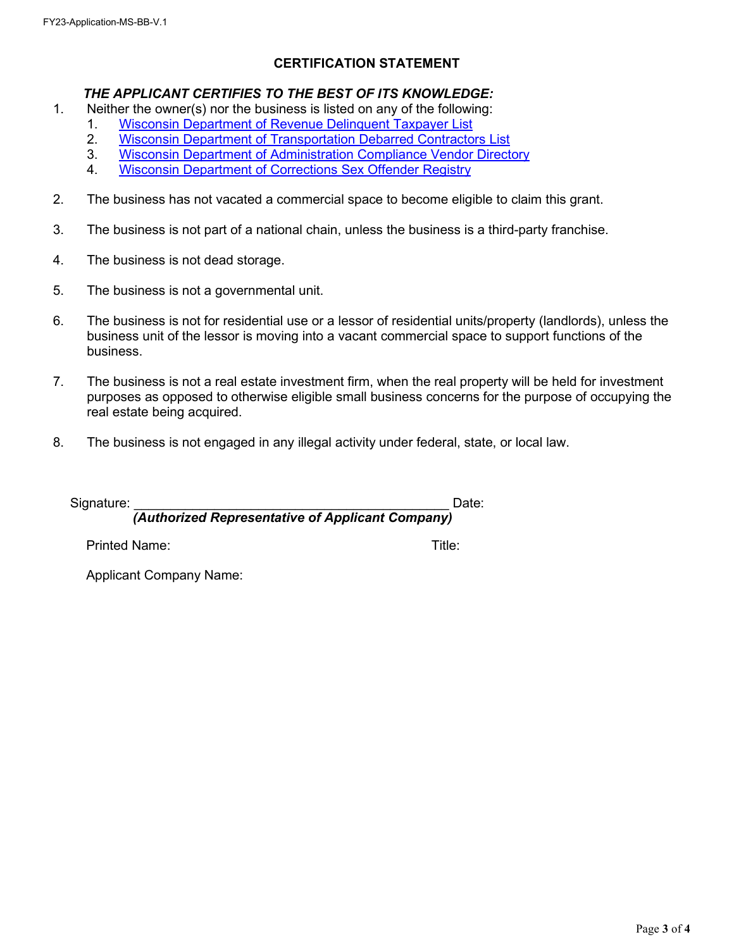## **CERTIFICATION STATEMENT**

## *THE APPLICANT CERTIFIES TO THE BEST OF ITS KNOWLEDGE:*

- 1. Neither the owner(s) nor the business is listed on any of the following:
	- 1. [Wisconsin Department of Revenue Delinquent Taxpayer List](https://www.revenue.wi.gov/Pages/Delqlist/DelqSearch.aspx)<br>2. Wisconsin Department of Transportation Debarred Contracto
	- [Wisconsin Department of Transportation Debarred Contractors List](https://wisconsindot.gov/Pages/doing-bus/contractors/hcci/cntrct-info.aspx)
	- 3. [Wisconsin Department of Administration Compliance Vendor Directory](https://vendornet.wi.gov/GenProcurement/Certification.aspx)
	- 4. [Wisconsin Department of Corrections Sex Offender Registry](https://appsdoc.wi.gov/public)
- 2. The business has not vacated a commercial space to become eligible to claim this grant.
- 3. The business is not part of a national chain, unless the business is a third-party franchise.
- 4. The business is not dead storage.
- 5. The business is not a governmental unit.
- 6. The business is not for residential use or a lessor of residential units/property (landlords), unless the business unit of the lessor is moving into a vacant commercial space to support functions of the business.
- 7. The business is not a real estate investment firm, when the real property will be held for investment purposes as opposed to otherwise eligible small business concerns for the purpose of occupying the real estate being acquired.
- 8. The business is not engaged in any illegal activity under federal, state, or local law.

| Signature:           | Date:                                            |  |  |  |  |
|----------------------|--------------------------------------------------|--|--|--|--|
|                      | (Authorized Representative of Applicant Company) |  |  |  |  |
| <b>Printed Name:</b> | Title:                                           |  |  |  |  |

Applicant Company Name: